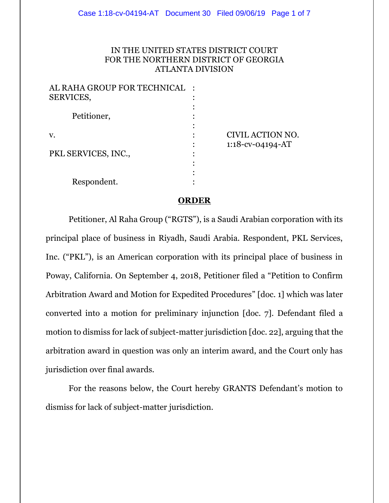# IN THE UNITED STATES DISTRICT COURT FOR THE NORTHERN DISTRICT OF GEORGIA ATLANTA DIVISION

| AL RAHA GROUP FOR TECHNICAL | $\cdot$ |                  |
|-----------------------------|---------|------------------|
| SERVICES,                   |         |                  |
|                             |         |                  |
| Petitioner,                 |         |                  |
|                             |         |                  |
| v.                          |         | CIVIL ACTION NO. |
|                             |         | 1:18-cv-04194-AT |
| PKL SERVICES, INC.,         |         |                  |
|                             |         |                  |
|                             |         |                  |
| Respondent.                 |         |                  |
|                             |         |                  |

### **ORDER**

Petitioner, Al Raha Group ("RGTS"), is a Saudi Arabian corporation with its principal place of business in Riyadh, Saudi Arabia. Respondent, PKL Services, Inc. ("PKL"), is an American corporation with its principal place of business in Poway, California. On September 4, 2018, Petitioner filed a "Petition to Confirm Arbitration Award and Motion for Expedited Procedures" [doc. 1] which was later converted into a motion for preliminary injunction [doc. 7]. Defendant filed a motion to dismiss for lack of subject-matter jurisdiction [doc. 22], arguing that the arbitration award in question was only an interim award, and the Court only has jurisdiction over final awards.

For the reasons below, the Court hereby GRANTS Defendant's motion to dismiss for lack of subject-matter jurisdiction.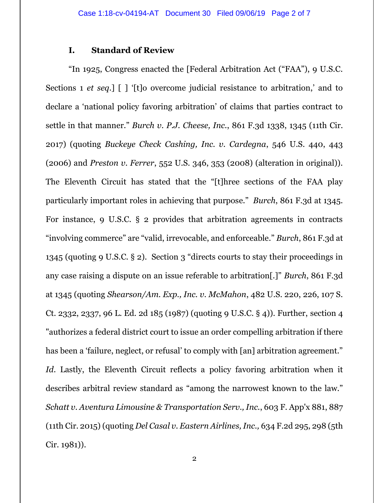# **I. Standard of Review**

"In 1925, Congress enacted the [Federal Arbitration Act ("FAA"), 9 U.S.C. Sections 1 *et seq*.] [ ] '[t]o overcome judicial resistance to arbitration,' and to declare a 'national policy favoring arbitration' of claims that parties contract to settle in that manner." *Burch v. P.J. Cheese, Inc.*, 861 F.3d 1338, 1345 (11th Cir. 2017) (quoting *Buckeye Check Cashing, Inc. v. Cardegna*, 546 U.S. 440, 443 (2006) and *Preston v. Ferrer*, 552 U.S. 346, 353 (2008) (alteration in original)). The Eleventh Circuit has stated that the "[t]hree sections of the FAA play particularly important roles in achieving that purpose." *Burch*, 861 F.3d at 1345. For instance, 9 U.S.C. § 2 provides that arbitration agreements in contracts "involving commerce" are "valid, irrevocable, and enforceable." *Burch*, 861 F.3d at 1345 (quoting 9 U.S.C. § 2). Section 3 "directs courts to stay their proceedings in any case raising a dispute on an issue referable to arbitration[.]" *Burch*, 861 F.3d at 1345 (quoting *Shearson/Am. Exp., Inc. v. McMahon*, 482 U.S. 220, 226, 107 S. Ct. 2332, 2337, 96 L. Ed. 2d 185 (1987) (quoting 9 U.S.C. § 4)). Further, section 4 "authorizes a federal district court to issue an order compelling arbitration if there has been a 'failure, neglect, or refusal' to comply with [an] arbitration agreement." *Id*. Lastly, the Eleventh Circuit reflects a policy favoring arbitration when it describes arbitral review standard as "among the narrowest known to the law." *Schatt v. Aventura Limousine & Transportation Serv., Inc.*, 603 F. App'x 881, 887 (11th Cir. 2015) (quoting *Del Casal v. Eastern Airlines, Inc.,* 634 F.2d 295, 298 (5th Cir. 1981)).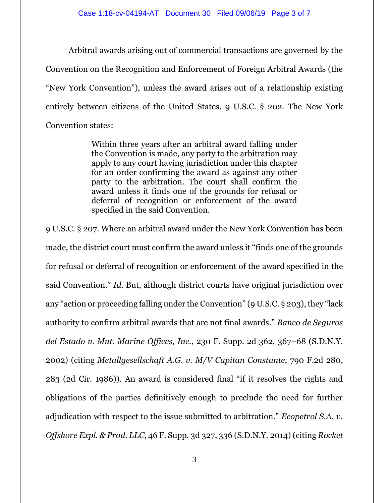Arbitral awards arising out of commercial transactions are governed by the Convention on the Recognition and Enforcement of Foreign Arbitral Awards (the "New York Convention"), unless the award arises out of a relationship existing entirely between citizens of the United States. 9 U.S.C. § 202. The New York Convention states:

> Within three years after an arbitral award falling under the Convention is made, any party to the arbitration may apply to any court having jurisdiction under this chapter for an order confirming the award as against any other party to the arbitration. The court shall confirm the award unless it finds one of the grounds for refusal or deferral of recognition or enforcement of the award specified in the said Convention.

9 U.S.C. § 207. Where an arbitral award under the New York Convention has been made, the district court must confirm the award unless it "finds one of the grounds for refusal or deferral of recognition or enforcement of the award specified in the said Convention." *Id*. But, although district courts have original jurisdiction over any "action or proceeding falling under the Convention" (9 U.S.C. § 203), they "lack authority to confirm arbitral awards that are not final awards." *Banco de Seguros del Estado v. Mut. Marine Offices, Inc.*, 230 F. Supp. 2d 362, 367–68 (S.D.N.Y. 2002) (citing *Metallgesellschaft A.G. v. M/V Capitan Constante,* 790 F.2d 280, 283 (2d Cir. 1986)). An award is considered final "if it resolves the rights and obligations of the parties definitively enough to preclude the need for further adjudication with respect to the issue submitted to arbitration." *Ecopetrol S.A. v. Offshore Expl. & Prod. LLC*, 46 F. Supp. 3d 327, 336 (S.D.N.Y. 2014) (citing *Rocket*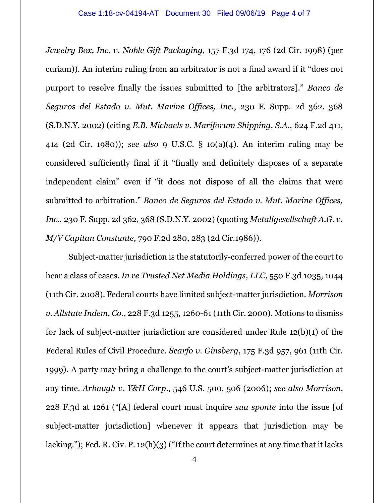*Jewelry Box, Inc. v. Noble Gift Packaging,* 157 F.3d 174, 176 (2d Cir. 1998) (per curiam)). An interim ruling from an arbitrator is not a final award if it "does not purport to resolve finally the issues submitted to [the arbitrators]." *Banco de Seguros del Estado v. Mut. Marine Offices, Inc.*, 230 F. Supp. 2d 362, 368 (S.D.N.Y. 2002) (citing *E.B. Michaels v. Mariforum Shipping, S.A.,* 624 F.2d 411, 414 (2d Cir. 1980)); *see also* 9 U.S.C. § 10(a)(4). An interim ruling may be considered sufficiently final if it "finally and definitely disposes of a separate independent claim" even if "it does not dispose of all the claims that were submitted to arbitration." *Banco de Seguros del Estado v. Mut. Marine Offices, Inc.*, 230 F. Supp. 2d 362, 368 (S.D.N.Y. 2002) (quoting *Metallgesellschaft A.G. v. M/V Capitan Constante,* 790 F.2d 280, 283 (2d Cir.1986)).

Subject-matter jurisdiction is the statutorily-conferred power of the court to hear a class of cases. *In re Trusted Net Media Holdings, LLC*, 550 F.3d 1035, 1044 (11th Cir. 2008). Federal courts have limited subject-matter jurisdiction. *Morrison v. Allstate Indem. Co.*, 228 F.3d 1255, 1260-61 (11th Cir. 2000). Motions to dismiss for lack of subject-matter jurisdiction are considered under Rule 12(b)(1) of the Federal Rules of Civil Procedure. *Scarfo v. Ginsberg*, 175 F.3d 957, 961 (11th Cir. 1999). A party may bring a challenge to the court's subject-matter jurisdiction at any time. *Arbaugh v. Y&H Corp*., 546 U.S. 500, 506 (2006); *see also Morrison*, 228 F.3d at 1261 ("[A] federal court must inquire *sua sponte* into the issue [of subject-matter jurisdiction] whenever it appears that jurisdiction may be lacking."); Fed. R. Civ. P.  $12(h)(3)$  ("If the court determines at any time that it lacks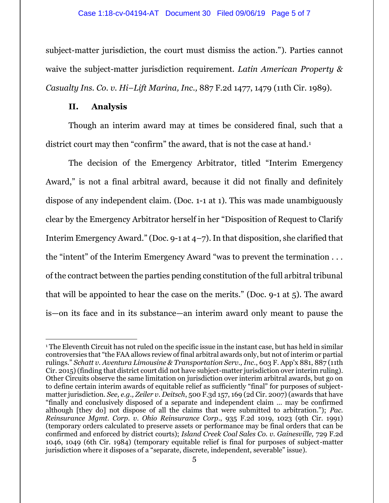subject-matter jurisdiction, the court must dismiss the action."). Parties cannot waive the subject-matter jurisdiction requirement. *Latin American Property & Casualty Ins. Co. v. Hi–Lift Marina, Inc.,* 887 F.2d 1477, 1479 (11th Cir. 1989).

## **II. Analysis**

 $\overline{a}$ 

Though an interim award may at times be considered final, such that a district court may then "confirm" the award, that is not the case at hand.<sup>1</sup>

The decision of the Emergency Arbitrator, titled "Interim Emergency Award," is not a final arbitral award, because it did not finally and definitely dispose of any independent claim. (Doc. 1-1 at 1). This was made unambiguously clear by the Emergency Arbitrator herself in her "Disposition of Request to Clarify Interim Emergency Award." (Doc. 9-1 at  $4-7$ ). In that disposition, she clarified that the "intent" of the Interim Emergency Award "was to prevent the termination . . . of the contract between the parties pending constitution of the full arbitral tribunal that will be appointed to hear the case on the merits." (Doc. 9-1 at 5). The award is—on its face and in its substance—an interim award only meant to pause the

<sup>1</sup> The Eleventh Circuit has not ruled on the specific issue in the instant case, but has held in similar controversies that "the FAA allows review of final arbitral awards only, but not of interim or partial rulings." *Schatt v. Aventura Limousine & Transportation Serv., Inc*., 603 F. App'x 881, 887 (11th Cir. 2015) (finding that district court did not have subject-matter jurisdiction over interim ruling). Other Circuits observe the same limitation on jurisdiction over interim arbitral awards, but go on to define certain interim awards of equitable relief as sufficiently "final" for purposes of subjectmatter jurisdiction. *See, e.g., Zeiler v. Deitsch*, 500 F.3d 157, 169 (2d Cir. 2007) (awards that have "finally and conclusively disposed of a separate and independent claim … may be confirmed although [they do] not dispose of all the claims that were submitted to arbitration."); *Pac. Reinsurance Mgmt. Corp. v. Ohio Reinsurance Corp*., 935 F.2d 1019, 1023 (9th Cir. 1991) (temporary orders calculated to preserve assets or performance may be final orders that can be confirmed and enforced by district courts); *Island Creek Coal Sales Co. v. Gainesville,* 729 F.2d 1046, 1049 (6th Cir. 1984) (temporary equitable relief is final for purposes of subject-matter jurisdiction where it disposes of a "separate, discrete, independent, severable" issue).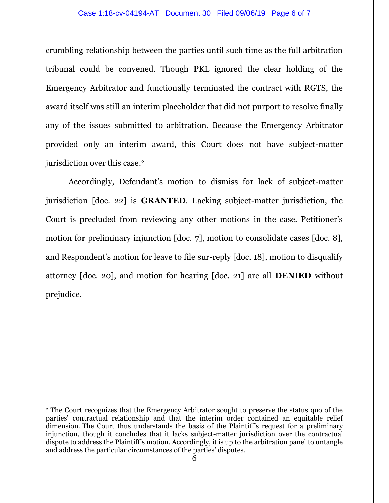#### Case 1:18-cv-04194-AT Document 30 Filed 09/06/19 Page 6 of 7

crumbling relationship between the parties until such time as the full arbitration tribunal could be convened. Though PKL ignored the clear holding of the Emergency Arbitrator and functionally terminated the contract with RGTS, the award itself was still an interim placeholder that did not purport to resolve finally any of the issues submitted to arbitration. Because the Emergency Arbitrator provided only an interim award, this Court does not have subject-matter jurisdiction over this case.<sup>2</sup>

Accordingly, Defendant's motion to dismiss for lack of subject-matter jurisdiction [doc. 22] is **GRANTED**. Lacking subject-matter jurisdiction, the Court is precluded from reviewing any other motions in the case. Petitioner's motion for preliminary injunction [doc. 7], motion to consolidate cases [doc. 8], and Respondent's motion for leave to file sur-reply [doc. 18], motion to disqualify attorney [doc. 20], and motion for hearing [doc. 21] are all **DENIED** without prejudice.

 $\overline{a}$ 

<sup>2</sup> The Court recognizes that the Emergency Arbitrator sought to preserve the status quo of the parties' contractual relationship and that the interim order contained an equitable relief dimension. The Court thus understands the basis of the Plaintiff's request for a preliminary injunction, though it concludes that it lacks subject-matter jurisdiction over the contractual dispute to address the Plaintiff's motion. Accordingly, it is up to the arbitration panel to untangle and address the particular circumstances of the parties' disputes.